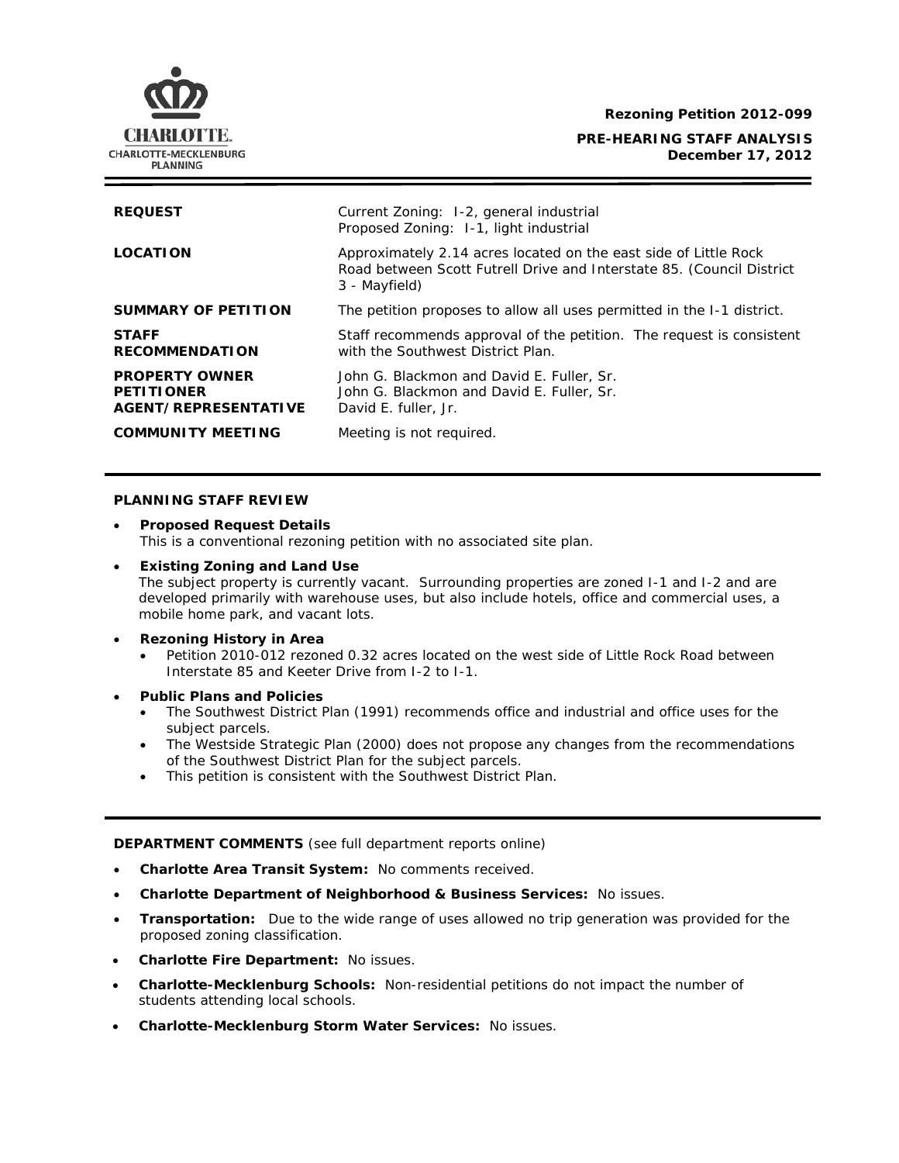**Rezoning Petition 2012-099**



## **PRE-HEARING STAFF ANALYSIS December 17, 2012**

| <b>REQUEST</b>                                                            | Current Zoning: 1-2, general industrial<br>Proposed Zoning: 1-1, light industrial                                                                          |
|---------------------------------------------------------------------------|------------------------------------------------------------------------------------------------------------------------------------------------------------|
| <b>LOCATION</b>                                                           | Approximately 2.14 acres located on the east side of Little Rock<br>Road between Scott Futrell Drive and Interstate 85. (Council District<br>3 - Mayfield) |
| SUMMARY OF PETITION                                                       | The petition proposes to allow all uses permitted in the 1-1 district.                                                                                     |
| <b>STAFF</b><br><b>RECOMMENDATION</b>                                     | Staff recommends approval of the petition. The request is consistent<br>with the Southwest District Plan.                                                  |
| <b>PROPERTY OWNER</b><br><b>PETITIONER</b><br><b>AGENT/REPRESENTATIVE</b> | John G. Blackmon and David E. Fuller, Sr.<br>John G. Blackmon and David E. Fuller, Sr.<br>David E. fuller, Jr.                                             |
| <b>COMMUNITY MEETING</b>                                                  | Meeting is not required.                                                                                                                                   |

## **PLANNING STAFF REVIEW**

- **Proposed Request Details** This is a conventional rezoning petition with no associated site plan.
- **Existing Zoning and Land Use** The subject property is currently vacant. Surrounding properties are zoned I-1 and I-2 and are developed primarily with warehouse uses, but also include hotels, office and commercial uses, a mobile home park, and vacant lots.
- **Rezoning History in Area**
	- Petition 2010-012 rezoned 0.32 acres located on the west side of Little Rock Road between Interstate 85 and Keeter Drive from I-2 to I-1.
- **Public Plans and Policies**
	- The *Southwest District Plan* (1991) recommends office and industrial and office uses for the subject parcels.
	- The *Westside Strategic Plan* (2000) does not propose any changes from the recommendations of the *Southwest District Plan* for the subject parcels.
	- This petition is consistent with the *Southwest District Plan*.

**DEPARTMENT COMMENTS** (see full department reports online)

- **Charlotte Area Transit System:** No comments received.
- **Charlotte Department of Neighborhood & Business Services:** No issues.
- **Transportation:** Due to the wide range of uses allowed no trip generation was provided for the proposed zoning classification.
- **Charlotte Fire Department:** No issues.
- **Charlotte-Mecklenburg Schools:** Non-residential petitions do not impact the number of students attending local schools.
- **Charlotte-Mecklenburg Storm Water Services:** No issues.